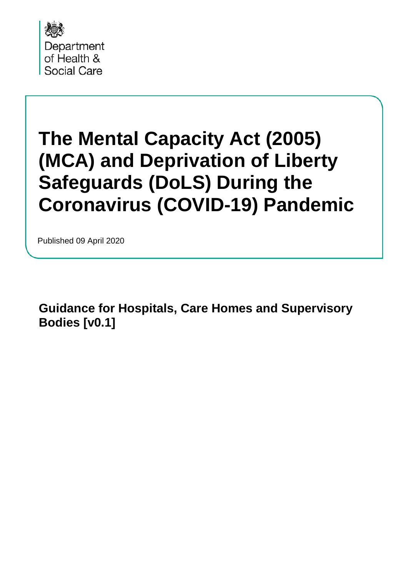

Published 09 April 2020

**Guidance for Hospitals, Care Homes and Supervisory Bodies [v0.1]**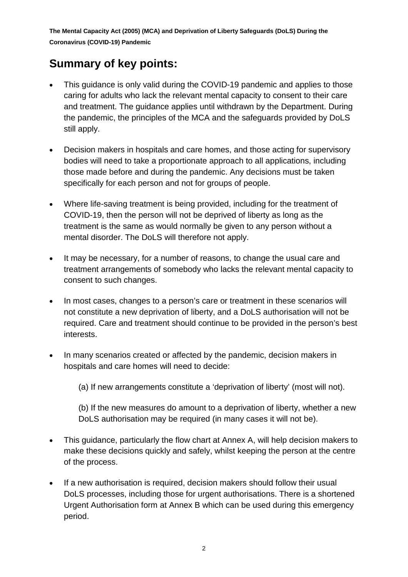# **Summary of key points:**

- This guidance is only valid during the COVID-19 pandemic and applies to those caring for adults who lack the relevant mental capacity to consent to their care and treatment. The guidance applies until withdrawn by the Department. During the pandemic, the principles of the MCA and the safeguards provided by DoLS still apply.
- Decision makers in hospitals and care homes, and those acting for supervisory bodies will need to take a proportionate approach to all applications, including those made before and during the pandemic. Any decisions must be taken specifically for each person and not for groups of people.
- Where life-saving treatment is being provided, including for the treatment of COVID-19, then the person will not be deprived of liberty as long as the treatment is the same as would normally be given to any person without a mental disorder. The DoLS will therefore not apply.
- It may be necessary, for a number of reasons, to change the usual care and treatment arrangements of somebody who lacks the relevant mental capacity to consent to such changes.
- In most cases, changes to a person's care or treatment in these scenarios will not constitute a new deprivation of liberty, and a DoLS authorisation will not be required. Care and treatment should continue to be provided in the person's best interests.
- In many scenarios created or affected by the pandemic, decision makers in hospitals and care homes will need to decide:
	- (a) If new arrangements constitute a 'deprivation of liberty' (most will not).

(b) If the new measures do amount to a deprivation of liberty, whether a new DoLS authorisation may be required (in many cases it will not be).

- This guidance, particularly the flow chart at Annex A, will help decision makers to make these decisions quickly and safely, whilst keeping the person at the centre of the process.
- If a new authorisation is required, decision makers should follow their usual DoLS processes, including those for urgent authorisations. There is a shortened Urgent Authorisation form at Annex B which can be used during this emergency period.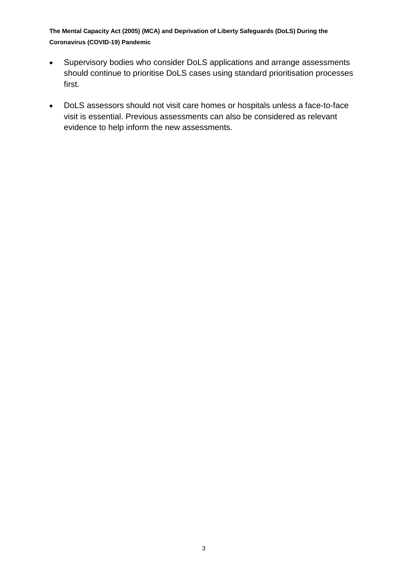- Supervisory bodies who consider DoLS applications and arrange assessments should continue to prioritise DoLS cases using standard prioritisation processes first.
- DoLS assessors should not visit care homes or hospitals unless a face-to-face visit is essential. Previous assessments can also be considered as relevant evidence to help inform the new assessments.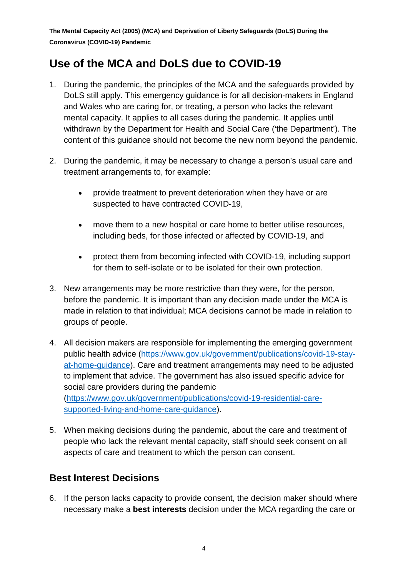## **Use of the MCA and DoLS due to COVID-19**

- 1. During the pandemic, the principles of the MCA and the safeguards provided by DoLS still apply. This emergency guidance is for all decision-makers in England and Wales who are caring for, or treating, a person who lacks the relevant mental capacity. It applies to all cases during the pandemic. It applies until withdrawn by the Department for Health and Social Care ('the Department'). The content of this guidance should not become the new norm beyond the pandemic.
- 2. During the pandemic, it may be necessary to change a person's usual care and treatment arrangements to, for example:
	- provide treatment to prevent deterioration when they have or are suspected to have contracted COVID-19,
	- move them to a new hospital or care home to better utilise resources, including beds, for those infected or affected by COVID-19, and
	- protect them from becoming infected with COVID-19, including support for them to self-isolate or to be isolated for their own protection.
- 3. New arrangements may be more restrictive than they were, for the person, before the pandemic. It is important than any decision made under the MCA is made in relation to that individual; MCA decisions cannot be made in relation to groups of people.
- 4. All decision makers are responsible for implementing the emerging government public health advice [\(https://www.gov.uk/government/publications/covid-19-stay](https://www.gov.uk/government/publications/covid-19-stay-at-home-guidance)[at-home-guidance\)](https://www.gov.uk/government/publications/covid-19-stay-at-home-guidance). Care and treatment arrangements may need to be adjusted to implement that advice. The government has also issued specific advice for social care providers during the pandemic [\(https://www.gov.uk/government/publications/covid-19-residential-care](https://www.gov.uk/government/publications/covid-19-residential-care-supported-living-and-home-care-guidance)[supported-living-and-home-care-guidance\)](https://www.gov.uk/government/publications/covid-19-residential-care-supported-living-and-home-care-guidance).
- 5. When making decisions during the pandemic, about the care and treatment of people who lack the relevant mental capacity, staff should seek consent on all aspects of care and treatment to which the person can consent.

## **Best Interest Decisions**

6. If the person lacks capacity to provide consent, the decision maker should where necessary make a **best interests** decision under the MCA regarding the care or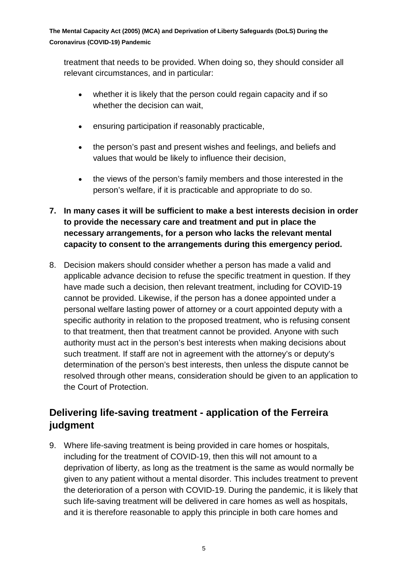treatment that needs to be provided. When doing so, they should consider all relevant circumstances, and in particular:

- whether it is likely that the person could regain capacity and if so whether the decision can wait,
- ensuring participation if reasonably practicable,
- the person's past and present wishes and feelings, and beliefs and values that would be likely to influence their decision,
- the views of the person's family members and those interested in the person's welfare, if it is practicable and appropriate to do so.
- **7. In many cases it will be sufficient to make a best interests decision in order to provide the necessary care and treatment and put in place the necessary arrangements, for a person who lacks the relevant mental capacity to consent to the arrangements during this emergency period.**
- 8. Decision makers should consider whether a person has made a valid and applicable advance decision to refuse the specific treatment in question. If they have made such a decision, then relevant treatment, including for COVID-19 cannot be provided. Likewise, if the person has a donee appointed under a personal welfare lasting power of attorney or a court appointed deputy with a specific authority in relation to the proposed treatment, who is refusing consent to that treatment, then that treatment cannot be provided. Anyone with such authority must act in the person's best interests when making decisions about such treatment. If staff are not in agreement with the attorney's or deputy's determination of the person's best interests, then unless the dispute cannot be resolved through other means, consideration should be given to an application to the Court of Protection.

## **Delivering life-saving treatment - application of the Ferreira judgment**

9. Where life-saving treatment is being provided in care homes or hospitals, including for the treatment of COVID-19, then this will not amount to a deprivation of liberty, as long as the treatment is the same as would normally be given to any patient without a mental disorder. This includes treatment to prevent the deterioration of a person with COVID-19. During the pandemic, it is likely that such life-saving treatment will be delivered in care homes as well as hospitals, and it is therefore reasonable to apply this principle in both care homes and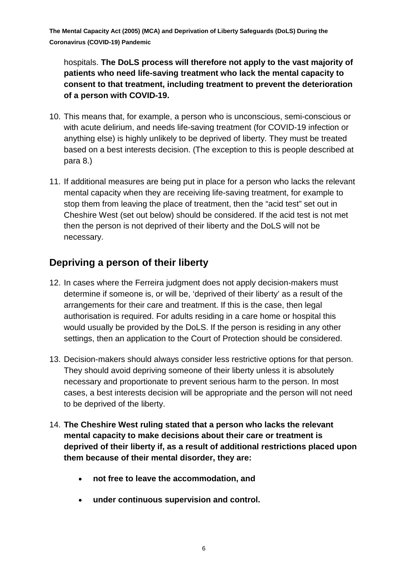hospitals. **The DoLS process will therefore not apply to the vast majority of patients who need life-saving treatment who lack the mental capacity to consent to that treatment, including treatment to prevent the deterioration of a person with COVID-19.**

- 10. This means that, for example, a person who is unconscious, semi-conscious or with acute delirium, and needs life-saving treatment (for COVID-19 infection or anything else) is highly unlikely to be deprived of liberty. They must be treated based on a best interests decision. (The exception to this is people described at para 8.)
- 11. If additional measures are being put in place for a person who lacks the relevant mental capacity when they are receiving life-saving treatment, for example to stop them from leaving the place of treatment, then the "acid test" set out in Cheshire West (set out below) should be considered. If the acid test is not met then the person is not deprived of their liberty and the DoLS will not be necessary.

## **Depriving a person of their liberty**

- 12. In cases where the Ferreira judgment does not apply decision-makers must determine if someone is, or will be, 'deprived of their liberty' as a result of the arrangements for their care and treatment. If this is the case, then legal authorisation is required. For adults residing in a care home or hospital this would usually be provided by the DoLS. If the person is residing in any other settings, then an application to the Court of Protection should be considered.
- 13. Decision-makers should always consider less restrictive options for that person. They should avoid depriving someone of their liberty unless it is absolutely necessary and proportionate to prevent serious harm to the person. In most cases, a best interests decision will be appropriate and the person will not need to be deprived of the liberty.
- 14. **The Cheshire West ruling stated that a person who lacks the relevant mental capacity to make decisions about their care or treatment is deprived of their liberty if, as a result of additional restrictions placed upon them because of their mental disorder, they are:**
	- **not free to leave the accommodation, and**
	- **under continuous supervision and control.**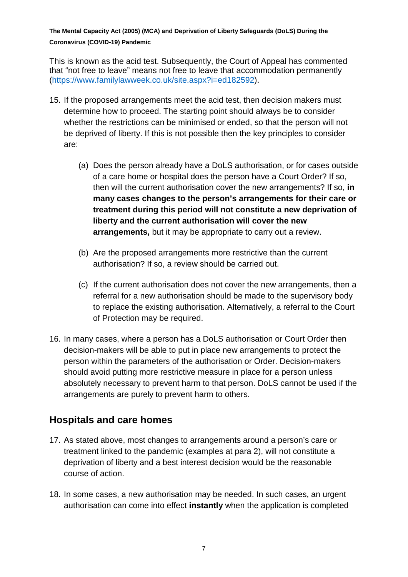This is known as the acid test. Subsequently, the Court of Appeal has commented that "not free to leave" means not free to leave that accommodation permanently [\(https://www.familylawweek.co.uk/site.aspx?i=ed182592\)](https://www.familylawweek.co.uk/site.aspx?i=ed182592).

- 15. If the proposed arrangements meet the acid test, then decision makers must determine how to proceed. The starting point should always be to consider whether the restrictions can be minimised or ended, so that the person will not be deprived of liberty. If this is not possible then the key principles to consider are:
	- (a) Does the person already have a DoLS authorisation, or for cases outside of a care home or hospital does the person have a Court Order? If so, then will the current authorisation cover the new arrangements? If so, **in many cases changes to the person's arrangements for their care or treatment during this period will not constitute a new deprivation of liberty and the current authorisation will cover the new arrangements,** but it may be appropriate to carry out a review.
	- (b) Are the proposed arrangements more restrictive than the current authorisation? If so, a review should be carried out.
	- (c) If the current authorisation does not cover the new arrangements, then a referral for a new authorisation should be made to the supervisory body to replace the existing authorisation. Alternatively, a referral to the Court of Protection may be required.
- 16. In many cases, where a person has a DoLS authorisation or Court Order then decision-makers will be able to put in place new arrangements to protect the person within the parameters of the authorisation or Order. Decision-makers should avoid putting more restrictive measure in place for a person unless absolutely necessary to prevent harm to that person. DoLS cannot be used if the arrangements are purely to prevent harm to others.

## **Hospitals and care homes**

- 17. As stated above, most changes to arrangements around a person's care or treatment linked to the pandemic (examples at para 2), will not constitute a deprivation of liberty and a best interest decision would be the reasonable course of action.
- 18. In some cases, a new authorisation may be needed. In such cases, an urgent authorisation can come into effect **instantly** when the application is completed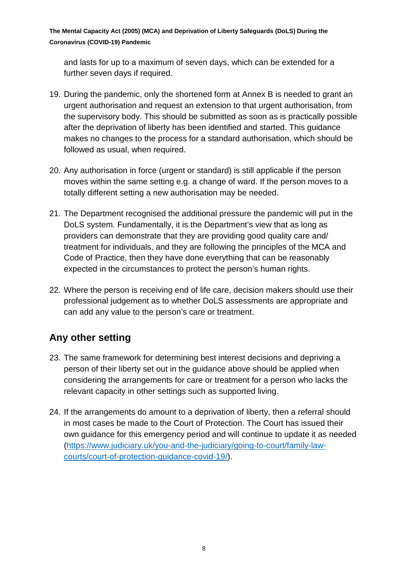and lasts for up to a maximum of seven days, which can be extended for a further seven days if required.

- 19. During the pandemic, only the shortened form at Annex B is needed to grant an urgent authorisation and request an extension to that urgent authorisation, from the supervisory body. This should be submitted as soon as is practically possible after the deprivation of liberty has been identified and started. This guidance makes no changes to the process for a standard authorisation, which should be followed as usual, when required.
- 20. Any authorisation in force (urgent or standard) is still applicable if the person moves within the same setting e.g. a change of ward. If the person moves to a totally different setting a new authorisation may be needed.
- 21. The Department recognised the additional pressure the pandemic will put in the DoLS system. Fundamentally, it is the Department's view that as long as providers can demonstrate that they are providing good quality care and/ treatment for individuals, and they are following the principles of the MCA and Code of Practice, then they have done everything that can be reasonably expected in the circumstances to protect the person's human rights.
- 22. Where the person is receiving end of life care, decision makers should use their professional judgement as to whether DoLS assessments are appropriate and can add any value to the person's care or treatment.

## **Any other setting**

- 23. The same framework for determining best interest decisions and depriving a person of their liberty set out in the guidance above should be applied when considering the arrangements for care or treatment for a person who lacks the relevant capacity in other settings such as supported living.
- 24. If the arrangements do amount to a deprivation of liberty, then a referral should in most cases be made to the Court of Protection. The Court has issued their own guidance for this emergency period and will continue to update it as needed [\(https://www.judiciary.uk/you-and-the-judiciary/going-to-court/family-law](https://www.judiciary.uk/you-and-the-judiciary/going-to-court/family-law-courts/court-of-protection-guidance-covid-19/)[courts/court-of-protection-guidance-covid-19/\)](https://www.judiciary.uk/you-and-the-judiciary/going-to-court/family-law-courts/court-of-protection-guidance-covid-19/).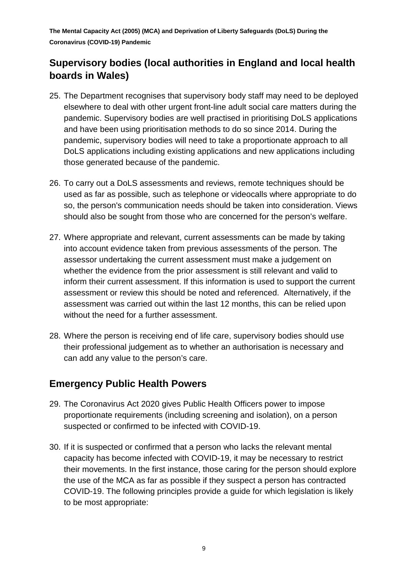## **Supervisory bodies (local authorities in England and local health boards in Wales)**

- 25. The Department recognises that supervisory body staff may need to be deployed elsewhere to deal with other urgent front-line adult social care matters during the pandemic. Supervisory bodies are well practised in prioritising DoLS applications and have been using prioritisation methods to do so since 2014. During the pandemic, supervisory bodies will need to take a proportionate approach to all DoLS applications including existing applications and new applications including those generated because of the pandemic.
- 26. To carry out a DoLS assessments and reviews, remote techniques should be used as far as possible, such as telephone or videocalls where appropriate to do so, the person's communication needs should be taken into consideration. Views should also be sought from those who are concerned for the person's welfare.
- 27. Where appropriate and relevant, current assessments can be made by taking into account evidence taken from previous assessments of the person. The assessor undertaking the current assessment must make a judgement on whether the evidence from the prior assessment is still relevant and valid to inform their current assessment. If this information is used to support the current assessment or review this should be noted and referenced. Alternatively, if the assessment was carried out within the last 12 months, this can be relied upon without the need for a further assessment.
- 28. Where the person is receiving end of life care, supervisory bodies should use their professional judgement as to whether an authorisation is necessary and can add any value to the person's care.

## **Emergency Public Health Powers**

- 29. The Coronavirus Act 2020 gives Public Health Officers power to impose proportionate requirements (including screening and isolation), on a person suspected or confirmed to be infected with COVID-19.
- 30. If it is suspected or confirmed that a person who lacks the relevant mental capacity has become infected with COVID-19, it may be necessary to restrict their movements. In the first instance, those caring for the person should explore the use of the MCA as far as possible if they suspect a person has contracted COVID-19. The following principles provide a guide for which legislation is likely to be most appropriate: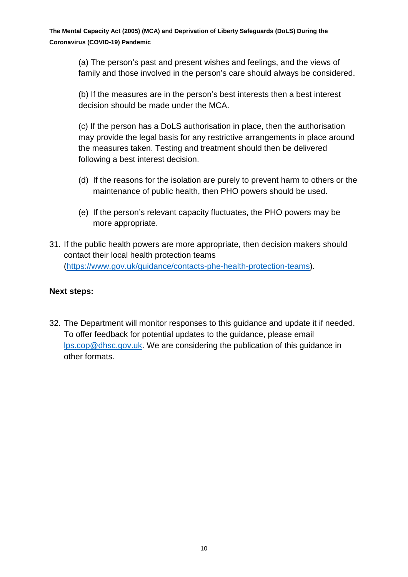(a) The person's past and present wishes and feelings, and the views of family and those involved in the person's care should always be considered.

(b) If the measures are in the person's best interests then a best interest decision should be made under the MCA.

(c) If the person has a DoLS authorisation in place, then the authorisation may provide the legal basis for any restrictive arrangements in place around the measures taken. Testing and treatment should then be delivered following a best interest decision.

- (d) If the reasons for the isolation are purely to prevent harm to others or the maintenance of public health, then PHO powers should be used.
- (e) If the person's relevant capacity fluctuates, the PHO powers may be more appropriate.
- 31. If the public health powers are more appropriate, then decision makers should contact their local health protection teams [\(https://www.gov.uk/guidance/contacts-phe-health-protection-teams\)](https://www.gov.uk/guidance/contacts-phe-health-protection-teams).

#### **Next steps:**

32. The Department will monitor responses to this guidance and update it if needed. To offer feedback for potential updates to the guidance, please email [lps.cop@dhsc.gov.uk.](mailto:lps.cop@dhsc.gov.uk) We are considering the publication of this guidance in other formats.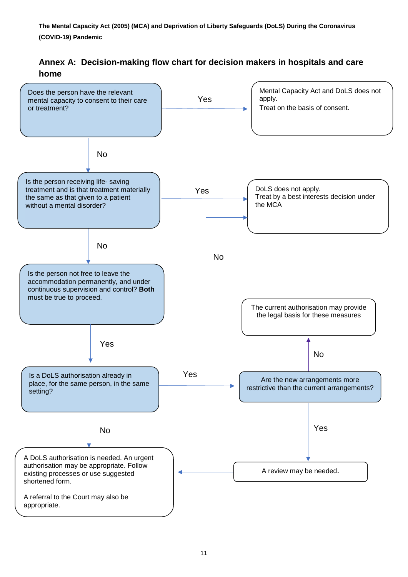

**Annex A: Decision-making flow chart for decision makers in hospitals and care home**